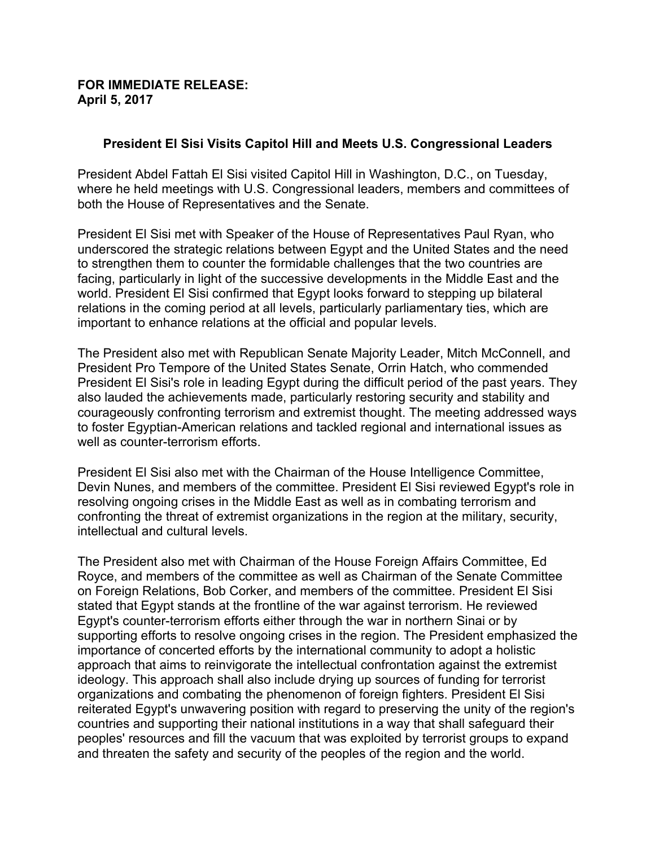## **FOR IMMEDIATE RELEASE: April 5, 2017**

## **President El Sisi Visits Capitol Hill and Meets U.S. Congressional Leaders**

President Abdel Fattah El Sisi visited Capitol Hill in Washington, D.C., on Tuesday, where he held meetings with U.S. Congressional leaders, members and committees of both the House of Representatives and the Senate.

President El Sisi met with Speaker of the House of Representatives Paul Ryan, who underscored the strategic relations between Egypt and the United States and the need to strengthen them to counter the formidable challenges that the two countries are facing, particularly in light of the successive developments in the Middle East and the world. President El Sisi confirmed that Egypt looks forward to stepping up bilateral relations in the coming period at all levels, particularly parliamentary ties, which are important to enhance relations at the official and popular levels.

The President also met with Republican Senate Majority Leader, Mitch McConnell, and President Pro Tempore of the United States Senate, Orrin Hatch, who commended President El Sisi's role in leading Egypt during the difficult period of the past years. They also lauded the achievements made, particularly restoring security and stability and courageously confronting terrorism and extremist thought. The meeting addressed ways to foster Egyptian-American relations and tackled regional and international issues as well as counter-terrorism efforts.

President El Sisi also met with the Chairman of the House Intelligence Committee, Devin Nunes, and members of the committee. President El Sisi reviewed Egypt's role in resolving ongoing crises in the Middle East as well as in combating terrorism and confronting the threat of extremist organizations in the region at the military, security, intellectual and cultural levels.

The President also met with Chairman of the House Foreign Affairs Committee, Ed Royce, and members of the committee as well as Chairman of the Senate Committee on Foreign Relations, Bob Corker, and members of the committee. President El Sisi stated that Egypt stands at the frontline of the war against terrorism. He reviewed Egypt's counter-terrorism efforts either through the war in northern Sinai or by supporting efforts to resolve ongoing crises in the region. The President emphasized the importance of concerted efforts by the international community to adopt a holistic approach that aims to reinvigorate the intellectual confrontation against the extremist ideology. This approach shall also include drying up sources of funding for terrorist organizations and combating the phenomenon of foreign fighters. President El Sisi reiterated Egypt's unwavering position with regard to preserving the unity of the region's countries and supporting their national institutions in a way that shall safeguard their peoples' resources and fill the vacuum that was exploited by terrorist groups to expand and threaten the safety and security of the peoples of the region and the world.